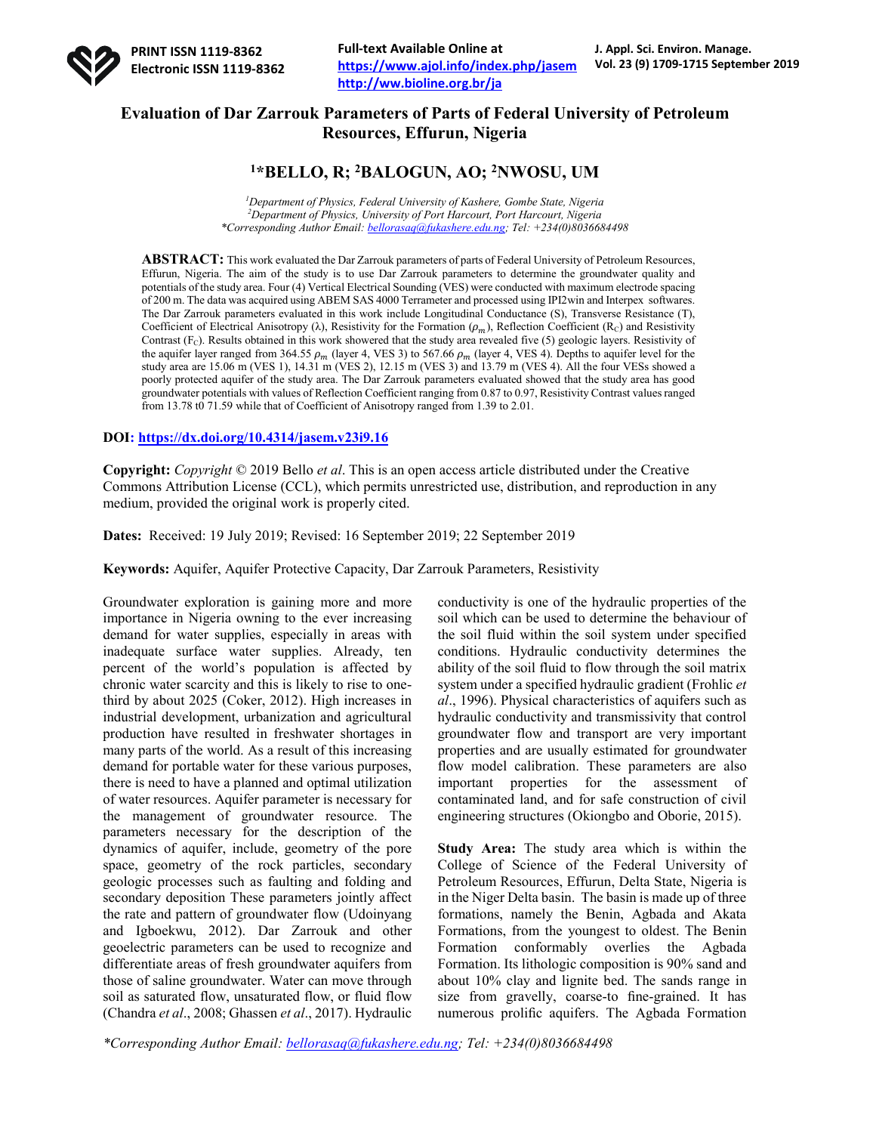

**Full-text Available Online at https://www.ajol.info/index.php/jasem http://ww.bioline.org.br/ja**

# **Evaluation of Dar Zarrouk Parameters of Parts of Federal University of Petroleum Resources, Effurun, Nigeria**

# **1\*BELLO, R; 2BALOGUN, AO; 2NWOSU, UM**

*1 Department of Physics, Federal University of Kashere, Gombe State, Nigeria 2 Department of Physics, University of Port Harcourt, Port Harcourt, Nigeria \*Corresponding Author Email: bellorasaq@fukashere.edu.ng; Tel: +234(0)8036684498*

**ABSTRACT:** This work evaluated the Dar Zarrouk parameters of parts of Federal University of Petroleum Resources, Effurun, Nigeria. The aim of the study is to use Dar Zarrouk parameters to determine the groundwater quality and potentials of the study area. Four (4) Vertical Electrical Sounding (VES) were conducted with maximum electrode spacing of 200 m. The data was acquired using ABEM SAS 4000 Terrameter and processed using IPI2win and Interpex softwares. The Dar Zarrouk parameters evaluated in this work include Longitudinal Conductance (S), Transverse Resistance (T), Coefficient of Electrical Anisotropy ( $\lambda$ ), Resistivity for the Formation ( $\rho_m$ ), Reflection Coefficient (R<sub>C</sub>) and Resistivity Contrast  $(F<sub>c</sub>)$ . Results obtained in this work showered that the study area revealed five (5) geologic layers. Resistivity of the aquifer layer ranged from 364.55  $\rho_m$  (layer 4, VES 3) to 567.66  $\rho_m$  (layer 4, VES 4). Depths to aquifer level for the study area are 15.06 m (VES 1), 14.31 m (VES 2), 12.15 m (VES 3) and 13.79 m (VES 4). All the four VESs showed a poorly protected aquifer of the study area. The Dar Zarrouk parameters evaluated showed that the study area has good groundwater potentials with values of Reflection Coefficient ranging from 0.87 to 0.97, Resistivity Contrast values ranged from 13.78 t0 71.59 while that of Coefficient of Anisotropy ranged from 1.39 to 2.01.

# **DOI: https://dx.doi.org/10.4314/jasem.v23i9.16**

**Copyright:** *Copyright* © 2019 Bello *et al*. This is an open access article distributed under the Creative Commons Attribution License (CCL), which permits unrestricted use, distribution, and reproduction in any medium, provided the original work is properly cited.

**Dates:** Received: 19 July 2019; Revised: 16 September 2019; 22 September 2019

**Keywords:** Aquifer, Aquifer Protective Capacity, Dar Zarrouk Parameters, Resistivity

Groundwater exploration is gaining more and more importance in Nigeria owning to the ever increasing demand for water supplies, especially in areas with inadequate surface water supplies. Already, ten percent of the world's population is affected by chronic water scarcity and this is likely to rise to onethird by about 2025 (Coker, 2012). High increases in industrial development, urbanization and agricultural production have resulted in freshwater shortages in many parts of the world. As a result of this increasing demand for portable water for these various purposes, there is need to have a planned and optimal utilization of water resources. Aquifer parameter is necessary for the management of groundwater resource. The parameters necessary for the description of the dynamics of aquifer, include, geometry of the pore space, geometry of the rock particles, secondary geologic processes such as faulting and folding and secondary deposition These parameters jointly affect the rate and pattern of groundwater flow (Udoinyang and Igboekwu, 2012). Dar Zarrouk and other geoelectric parameters can be used to recognize and differentiate areas of fresh groundwater aquifers from those of saline groundwater. Water can move through soil as saturated flow, unsaturated flow, or fluid flow (Chandra *et al*., 2008; Ghassen *et al*., 2017). Hydraulic

conductivity is one of the hydraulic properties of the soil which can be used to determine the behaviour of the soil fluid within the soil system under specified conditions. Hydraulic conductivity determines the ability of the soil fluid to flow through the soil matrix system under a specified hydraulic gradient (Frohlic *et al*., 1996). Physical characteristics of aquifers such as hydraulic conductivity and transmissivity that control groundwater flow and transport are very important properties and are usually estimated for groundwater flow model calibration. These parameters are also important properties for the assessment of contaminated land, and for safe construction of civil engineering structures (Okiongbo and Oborie, 2015).

**Study Area:** The study area which is within the College of Science of the Federal University of Petroleum Resources, Effurun, Delta State, Nigeria is in the Niger Delta basin. The basin is made up of three formations, namely the Benin, Agbada and Akata Formations, from the youngest to oldest. The Benin Formation conformably overlies the Agbada Formation. Its lithologic composition is 90% sand and about 10% clay and lignite bed. The sands range in size from gravelly, coarse-to fine-grained. It has numerous prolific aquifers. The Agbada Formation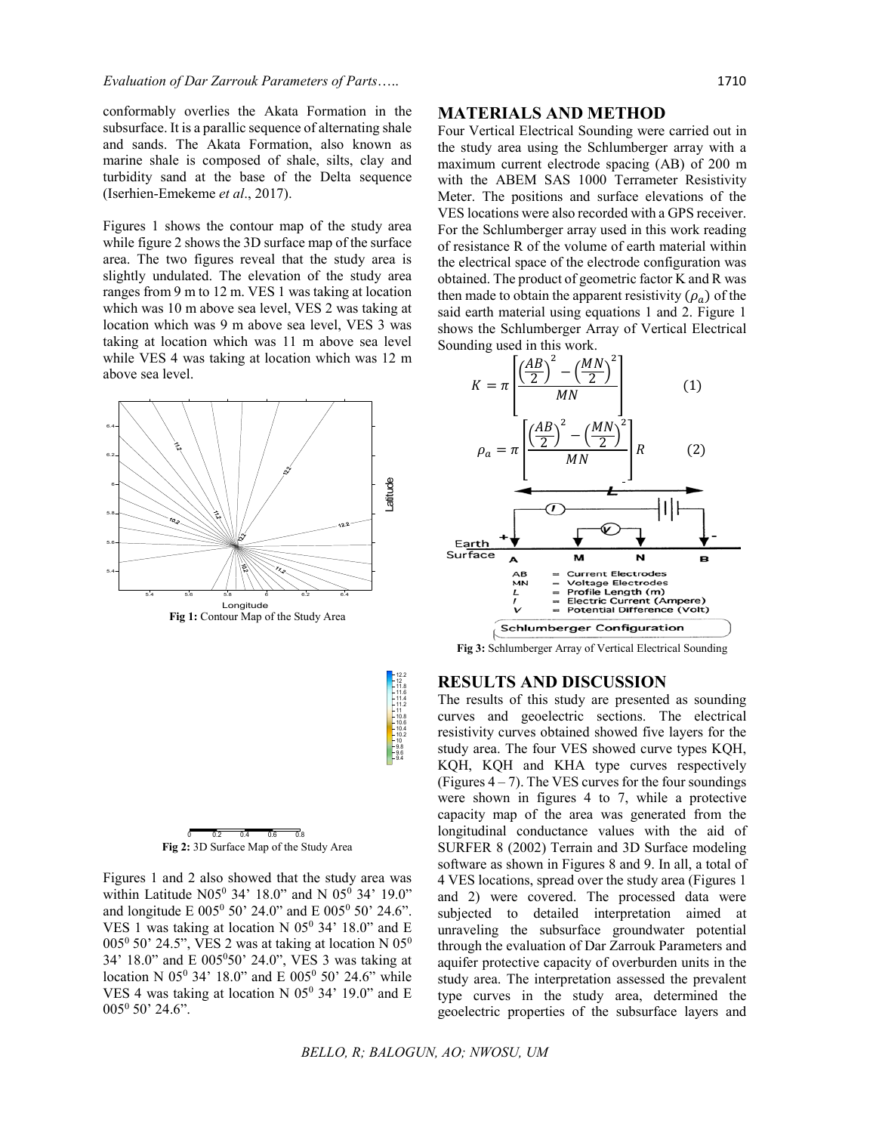conformably overlies the Akata Formation in the subsurface. It is a parallic sequence of alternating shale and sands. The Akata Formation, also known as marine shale is composed of shale, silts, clay and turbidity sand at the base of the Delta sequence (Iserhien-Emekeme *et al*., 2017).

Figures 1 shows the contour map of the study area while figure 2 shows the 3D surface map of the surface area. The two figures reveal that the study area is slightly undulated. The elevation of the study area ranges from 9 m to 12 m. VES 1 was taking at location which was 10 m above sea level, VES 2 was taking at location which was 9 m above sea level, VES 3 was taking at location which was 11 m above sea level while VES 4 was taking at location which was 12 m above sea level.





**Fig 2:** 3D Surface Map of the Study Area

Figures 1 and 2 also showed that the study area was within Latitude N05<sup>0</sup> 34' 18.0" and N 05<sup>0</sup> 34' 19.0" and longitude E  $005^{\circ}$  50' 24.0" and E  $005^{\circ}$  50' 24.6". VES 1 was taking at location N  $05^0$  34' 18.0" and E  $005^{\circ}$  50' 24.5", VES 2 was at taking at location N  $05^{\circ}$ 34' 18.0" and E 005°50' 24.0", VES 3 was taking at location N 05<sup>0</sup> 34' 18.0" and E 005<sup>0</sup> 50' 24.6" while VES 4 was taking at location N  $05^0$  34' 19.0" and E 0050 50' 24.6".

#### **MATERIALS AND METHOD**

Four Vertical Electrical Sounding were carried out in the study area using the Schlumberger array with a maximum current electrode spacing (AB) of 200 m with the ABEM SAS 1000 Terrameter Resistivity Meter. The positions and surface elevations of the VES locations were also recorded with a GPS receiver. For the Schlumberger array used in this work reading of resistance R of the volume of earth material within the electrical space of the electrode configuration was obtained. The product of geometric factor K and R was then made to obtain the apparent resistivity  $(\rho_a)$  of the said earth material using equations 1 and 2. Figure 1 shows the Schlumberger Array of Vertical Electrical Sounding used in this work.



**Fig 3:** Schlumberger Array of Vertical Electrical Sounding

### **RESULTS AND DISCUSSION**

The results of this study are presented as sounding curves and geoelectric sections. The electrical resistivity curves obtained showed five layers for the study area. The four VES showed curve types KQH, KQH, KQH and KHA type curves respectively (Figures  $4 - 7$ ). The VES curves for the four soundings were shown in figures 4 to 7, while a protective capacity map of the area was generated from the longitudinal conductance values with the aid of SURFER 8 (2002) Terrain and 3D Surface modeling software as shown in Figures 8 and 9. In all, a total of 4 VES locations, spread over the study area (Figures 1 and 2) were covered. The processed data were subjected to detailed interpretation aimed at unraveling the subsurface groundwater potential through the evaluation of Dar Zarrouk Parameters and aquifer protective capacity of overburden units in the study area. The interpretation assessed the prevalent type curves in the study area, determined the geoelectric properties of the subsurface layers and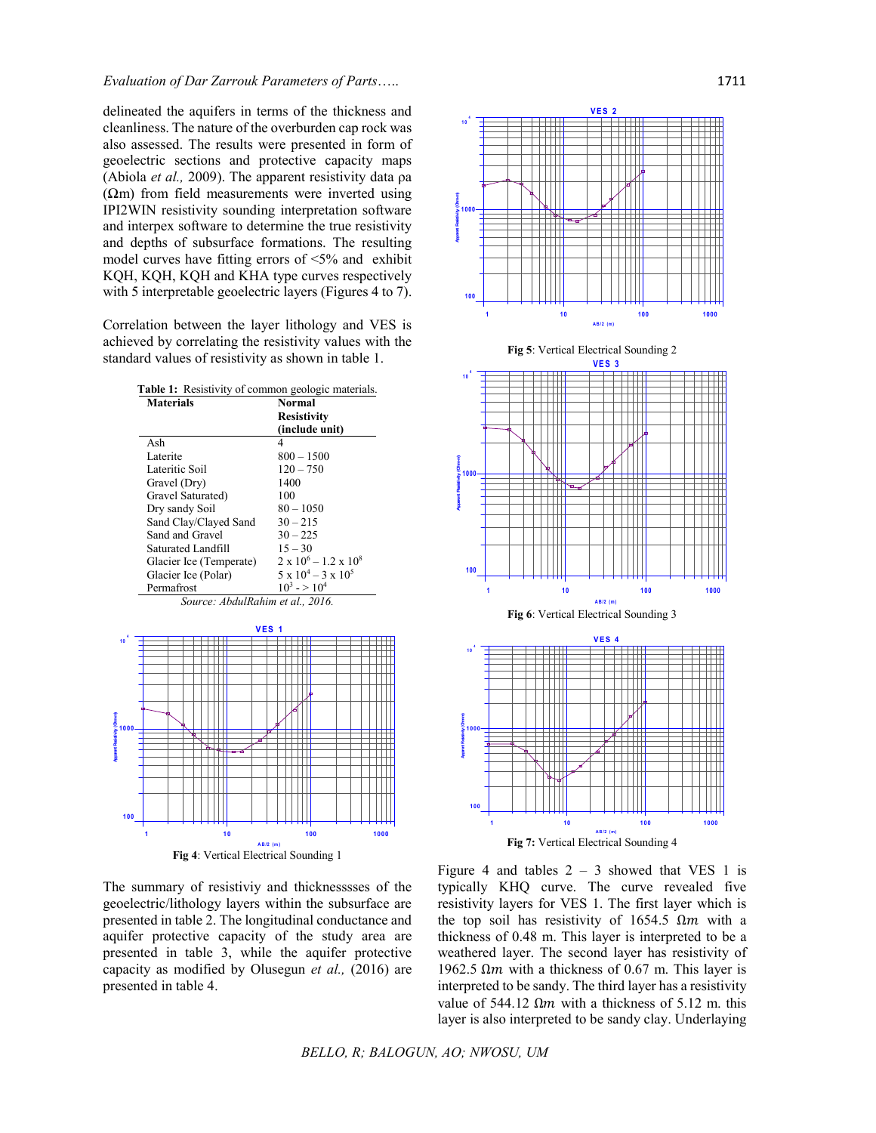delineated the aquifers in terms of the thickness and cleanliness. The nature of the overburden cap rock was also assessed. The results were presented in form of geoelectric sections and protective capacity maps (Abiola *et al.,* 2009). The apparent resistivity data ρa  $(\Omega m)$  from field measurements were inverted using IPI2WIN resistivity sounding interpretation software and interpex software to determine the true resistivity and depths of subsurface formations. The resulting model curves have fitting errors of <5% and exhibit KQH, KQH, KQH and KHA type curves respectively with 5 interpretable geoelectric layers (Figures 4 to 7).

Correlation between the layer lithology and VES is achieved by correlating the resistivity values with the standard values of resistivity as shown in table 1.



The summary of resistiviy and thicknesssses of the geoelectric/lithology layers within the subsurface are presented in table 2. The longitudinal conductance and aquifer protective capacity of the study area are presented in table 3, while the aquifer protective capacity as modified by Olusegun *et al.,* (2016) are presented in table 4.



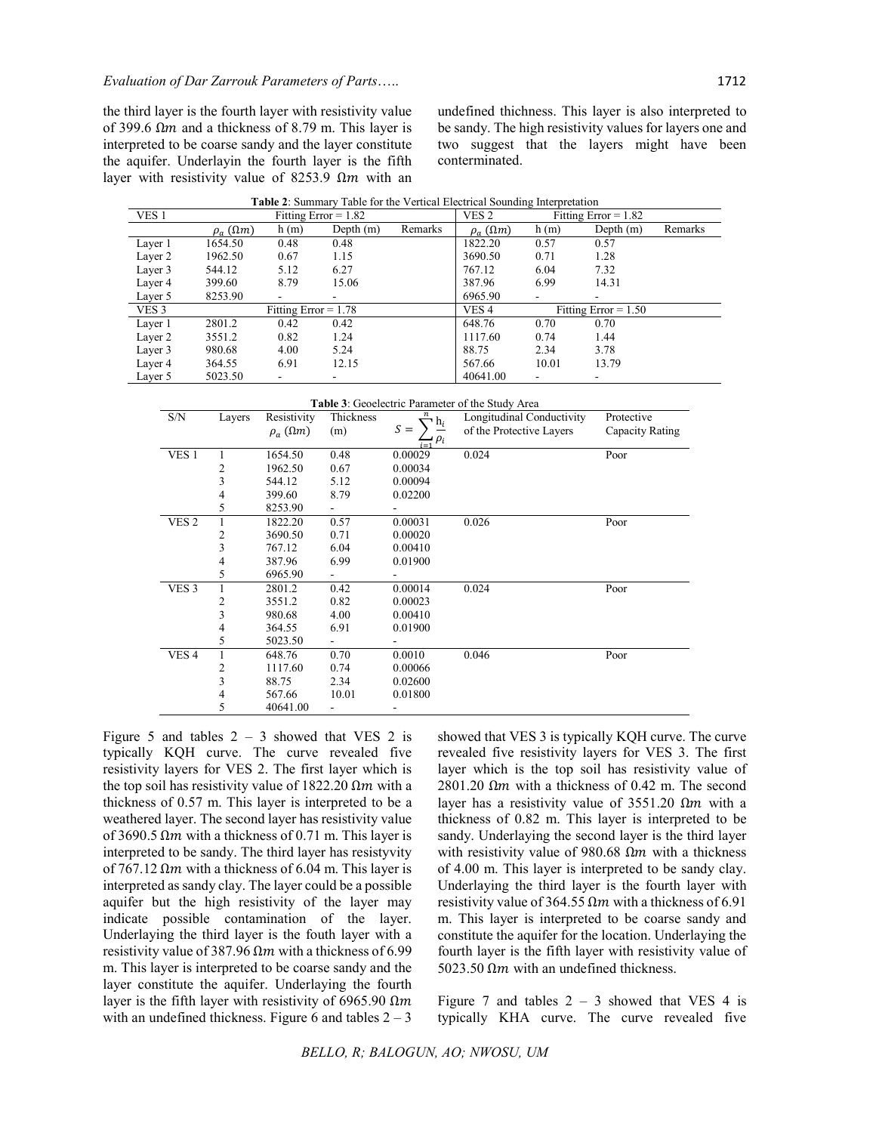the third layer is the fourth layer with resistivity value of 399.6 Ωm and a thickness of 8.79 m. This layer is interpreted to be coarse sandy and the layer constitute the aquifer. Underlayin the fourth layer is the fifth layer with resistivity value of 8253.9  $\Omega m$  with an

undefined thichness. This layer is also interpreted to be sandy. The high resistivity values for layers one and two suggest that the layers might have been conterminated.

| VES <sub>1</sub> | Fitting Error $= 1.82$ |                        |             | VES 2   | Fitting Error $= 1.82$ |       |                        |         |
|------------------|------------------------|------------------------|-------------|---------|------------------------|-------|------------------------|---------|
|                  | $\rho_a(\Omega m)$     | h(m)                   | Depth $(m)$ | Remarks | $\rho_a(\Omega m)$     | h(m)  | Depth $(m)$            | Remarks |
| Layer 1          | 1654.50                | 0.48                   | 0.48        |         | 1822.20                | 0.57  | 0.57                   |         |
| Layer 2          | 1962.50                | 0.67                   | 1.15        |         | 3690.50                | 0.71  | 1.28                   |         |
| Layer 3          | 544.12                 | 5.12                   | 6.27        |         | 767.12                 | 6.04  | 7.32                   |         |
| Layer 4          | 399.60                 | 8.79                   | 15.06       |         | 387.96                 | 6.99  | 14.31                  |         |
| Layer 5          | 8253.90                |                        |             |         | 6965.90                |       |                        |         |
| VES <sub>3</sub> |                        | Fitting $Error = 1.78$ |             |         | VES 4                  |       | Fitting Error $= 1.50$ |         |
| Layer 1          | 2801.2                 | 0.42                   | 0.42        |         | 648.76                 | 0.70  | 0.70                   |         |
| Layer 2          | 3551.2                 | 0.82                   | 1.24        |         | 1117.60                | 0.74  | 1.44                   |         |
| Layer 3          | 980.68                 | 4.00                   | 5.24        |         | 88.75                  | 2.34  | 3.78                   |         |
| Layer 4          | 364.55                 | 6.91                   | 12.15       |         | 567.66                 | 10.01 | 13.79                  |         |
| Layer 5          | 5023.50                | ۰                      | -           |         | 40641.00               | -     | ۰                      |         |

**Table 2**: Summary Table for the Vertical Electrical Sounding Interpretation

| S/N              | Layers | Resistivity        | Thickness                | n.<br>$\neg h_i$    | Longitudinal Conductivity | Protective      |
|------------------|--------|--------------------|--------------------------|---------------------|---------------------------|-----------------|
|                  |        | $\rho_a(\Omega m)$ | (m)                      | $S =$<br>د $\rho_i$ | of the Protective Layers  | Capacity Rating |
| VES <sub>1</sub> |        | 1654.50            | 0.48                     | 0.00029             | 0.024                     | Poor            |
|                  | 2      | 1962.50            | 0.67                     | 0.00034             |                           |                 |
|                  | 3      | 544.12             | 5.12                     | 0.00094             |                           |                 |
|                  | 4      | 399.60             | 8.79                     | 0.02200             |                           |                 |
|                  | 5      | 8253.90            | Ξ.                       |                     |                           |                 |
| VES <sub>2</sub> |        | 1822.20            | 0.57                     | 0.00031             | 0.026                     | Poor            |
|                  | 2      | 3690.50            | 0.71                     | 0.00020             |                           |                 |
|                  | 3      | 767.12             | 6.04                     | 0.00410             |                           |                 |
|                  | 4      | 387.96             | 6.99                     | 0.01900             |                           |                 |
|                  | 5      | 6965.90            | ٠                        |                     |                           |                 |
| VES <sub>3</sub> | 1      | 2801.2             | 0.42                     | 0.00014             | 0.024                     | Poor            |
|                  | 2      | 3551.2             | 0.82                     | 0.00023             |                           |                 |
|                  | 3      | 980.68             | 4.00                     | 0.00410             |                           |                 |
|                  | 4      | 364.55             | 6.91                     | 0.01900             |                           |                 |
|                  | 5      | 5023.50            | $\overline{\phantom{0}}$ |                     |                           |                 |
| VES <sub>4</sub> |        | 648.76             | 0.70                     | 0.0010              | 0.046                     | Poor            |
|                  | 2      | 1117.60            | 0.74                     | 0.00066             |                           |                 |
|                  | 3      | 88.75              | 2.34                     | 0.02600             |                           |                 |
|                  | 4      | 567.66             | 10.01                    | 0.01800             |                           |                 |
|                  | 5      | 40641.00           | $\overline{\phantom{0}}$ |                     |                           |                 |

Figure 5 and tables  $2 - 3$  showed that VES 2 is typically KQH curve. The curve revealed five resistivity layers for VES 2. The first layer which is the top soil has resistivity value of  $1822.20$   $\Omega m$  with a thickness of 0.57 m. This layer is interpreted to be a weathered layer. The second layer has resistivity value of 3690.5 Ωm with a thickness of 0.71 m. This layer is interpreted to be sandy. The third layer has resistyvity of 767.12  $\Omega$ *m* with a thickness of 6.04 m. This layer is interpreted as sandy clay. The layer could be a possible aquifer but the high resistivity of the layer may indicate possible contamination of the layer. Underlaying the third layer is the fouth layer with a resistivity value of 387.96  $\Omega m$  with a thickness of 6.99 m. This layer is interpreted to be coarse sandy and the layer constitute the aquifer. Underlaying the fourth layer is the fifth layer with resistivity of 6965.90  $\Omega m$ with an undefined thickness. Figure 6 and tables  $2 - 3$ 

showed that VES 3 is typically KQH curve. The curve revealed five resistivity layers for VES 3. The first layer which is the top soil has resistivity value of 2801.20  $\Omega$ m with a thickness of 0.42 m. The second layer has a resistivity value of 3551.20  $\Omega m$  with a thickness of 0.82 m. This layer is interpreted to be sandy. Underlaying the second layer is the third layer with resistivity value of 980.68  $\Omega m$  with a thickness of 4.00 m. This layer is interpreted to be sandy clay. Underlaying the third layer is the fourth layer with resistivity value of 364.55  $\Omega$ *m* with a thickness of 6.91 m. This layer is interpreted to be coarse sandy and constitute the aquifer for the location. Underlaying the fourth layer is the fifth layer with resistivity value of 5023.50  $Ωm$  with an undefined thickness.

Figure 7 and tables  $2 - 3$  showed that VES 4 is typically KHA curve. The curve revealed five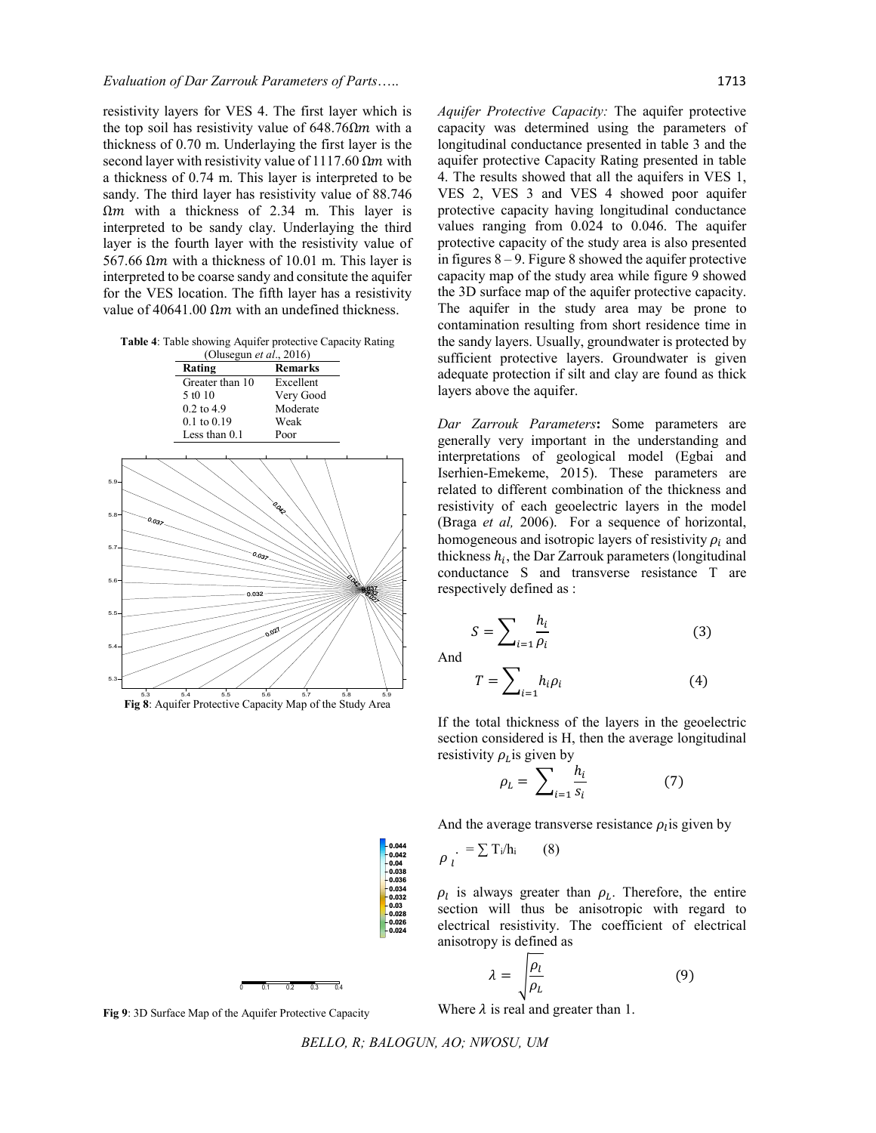resistivity layers for VES 4. The first layer which is the top soil has resistivity value of  $648.76Ωm$  with a thickness of 0.70 m. Underlaying the first layer is the second layer with resistivity value of 1117.60  $\Omega m$  with a thickness of 0.74 m. This layer is interpreted to be sandy. The third layer has resistivity value of 88.746  $\Omega m$  with a thickness of 2.34 m. This layer is interpreted to be sandy clay. Underlaying the third layer is the fourth layer with the resistivity value of 567.66  $Ωm$  with a thickness of 10.01 m. This layer is interpreted to be coarse sandy and consitute the aquifer for the VES location. The fifth layer has a resistivity value of 40641.00 Ωm with an undefined thickness.

**Table 4**: Table showing Aquifer protective Capacity Rating



<sup>5.3</sup> 5.4 5.5 5.5 5.6 5.7 5.8 5.9 **Fig 8**: Aquifer Protective Capacity Map of the Study Area

*Aquifer Protective Capacity:* The aquifer protective capacity was determined using the parameters of longitudinal conductance presented in table 3 and the aquifer protective Capacity Rating presented in table 4. The results showed that all the aquifers in VES 1, VES 2, VES 3 and VES 4 showed poor aquifer protective capacity having longitudinal conductance values ranging from 0.024 to 0.046. The aquifer protective capacity of the study area is also presented in figures  $8 - 9$ . Figure 8 showed the aquifer protective capacity map of the study area while figure 9 showed the 3D surface map of the aquifer protective capacity. The aquifer in the study area may be prone to contamination resulting from short residence time in the sandy layers. Usually, groundwater is protected by sufficient protective layers. Groundwater is given adequate protection if silt and clay are found as thick layers above the aquifer.

*Dar Zarrouk Parameters***:** Some parameters are generally very important in the understanding and interpretations of geological model (Egbai and Iserhien-Emekeme, 2015). These parameters are related to different combination of the thickness and resistivity of each geoelectric layers in the model (Braga *et al,* 2006). For a sequence of horizontal, homogeneous and isotropic layers of resistivity  $\rho_i$  and thickness  $h_i$ , the Dar Zarrouk parameters (longitudinal conductance S and transverse resistance T are respectively defined as :

$$
S = \sum_{i=1}^{\ } \frac{h_i}{\rho_i} \tag{3}
$$

And

$$
T = \sum_{i=1} h_i \rho_i \tag{4}
$$

If the total thickness of the layers in the geoelectric section considered is H, then the average longitudinal resistivity  $\rho_l$  is given by

$$
\rho_L = \sum_{i=1} \frac{h_i}{s_i} \tag{7}
$$

And the average transverse resistance  $\rho_i$  is given by

$$
\rho_i \cdot = \sum T_i / h_i \qquad (8)
$$

 $\rho_l$  is always greater than  $\rho_l$ . Therefore, the entire section will thus be anisotropic with regard to electrical resistivity. The coefficient of electrical anisotropy is defined as

$$
\lambda = \sqrt{\frac{\rho_l}{\rho_L}}\tag{9}
$$

**Fig 9**: 3D Surface Map of the Aquifer Protective Capacity

0 0.1 0.2 0.3 0.4

Where  $\lambda$  is real and greater than 1.

*BELLO, R; BALOGUN, AO; NWOSU, UM*

0.024 0.026 0.028 0.03 0.032

0.044<br>0.042<br>0.04<br>0.038<br>0.036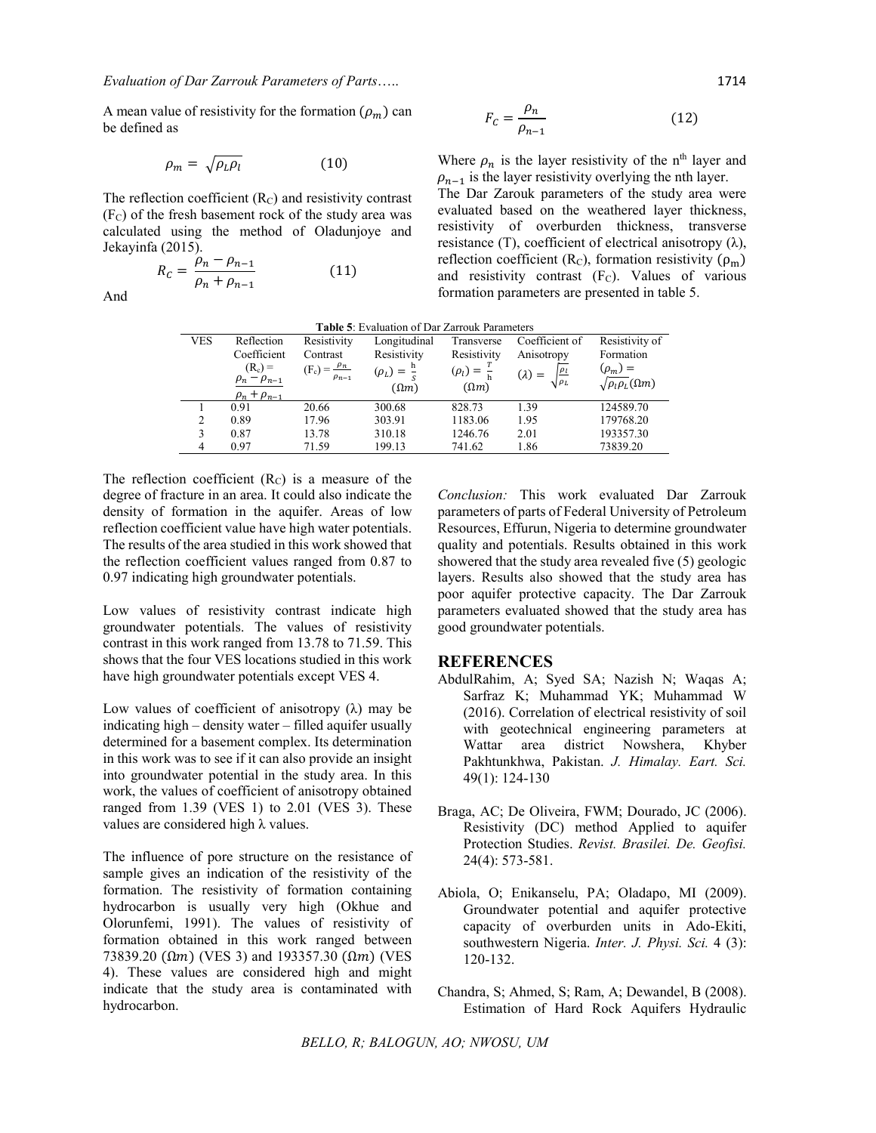A mean value of resistivity for the formation  $(\rho_m)$  can be defined as

$$
\rho_m = \sqrt{\rho_L \rho_l} \tag{10}
$$

The reflection coefficient  $(R<sub>C</sub>)$  and resistivity contrast  $(F<sub>C</sub>)$  of the fresh basement rock of the study area was calculated using the method of Oladunjoye and Jekayinfa (2015).

$$
R_c = \frac{\rho_n - \rho_{n-1}}{\rho_n + \rho_{n-1}} \tag{11}
$$

And

$$
F_c = \frac{\rho_n}{\rho_{n-1}}\tag{12}
$$

Where  $\rho_n$  is the layer resistivity of the n<sup>th</sup> layer and  $\rho_{n-1}$  is the layer resistivity overlying the nth layer.

The Dar Zarouk parameters of the study area were evaluated based on the weathered layer thickness, resistivity of overburden thickness, transverse resistance (T), coefficient of electrical anisotropy (λ), reflection coefficient (R<sub>C</sub>), formation resistivity ( $\rho_m$ ) and resistivity contrast  $(F_C)$ . Values of various formation parameters are presented in table 5.

| <b>Table 5:</b> Evaluation of Dar Zarrouk Parameters |                       |                               |                          |                          |                                |                                              |  |  |
|------------------------------------------------------|-----------------------|-------------------------------|--------------------------|--------------------------|--------------------------------|----------------------------------------------|--|--|
| <b>VES</b>                                           | Reflection            | Resistivity                   | Longitudinal             | Transverse               | Coefficient of                 | Resistivity of                               |  |  |
|                                                      | Coefficient           | Contrast                      | Resistivity              | Resistivity              | Anisotropy                     | Formation                                    |  |  |
|                                                      | $(R_c) =$             | $(F_c) = \frac{\rho_n}{\rho}$ | $(\rho_L) = \frac{h}{s}$ | $(\rho_l) = \frac{1}{h}$ | $(\lambda) =$                  | $(\rho_m) =$                                 |  |  |
|                                                      | $\rho_n - \rho_{n-1}$ | $\rho_{n-1}$                  | $(\Omega m)$             | $(\Omega m)$             | $\sqrt{\frac{\rho_l}{\rho_L}}$ | $\sqrt{\rho_l \rho_L}$ ( $\Omega$ <i>m</i> ) |  |  |
|                                                      | $\rho_n + \rho_{n-1}$ |                               |                          |                          |                                |                                              |  |  |
|                                                      | 0.91                  | 20.66                         | 300.68                   | 828.73                   | 1.39                           | 124589.70                                    |  |  |
| 2                                                    | 0.89                  | 17.96                         | 303.91                   | 1183.06                  | 1.95                           | 179768.20                                    |  |  |
| 3                                                    | 0.87                  | 13.78                         | 310.18                   | 1246.76                  | 2.01                           | 193357.30                                    |  |  |
| 4                                                    | 0.97                  | 71.59                         | 199.13                   | 741.62                   | 1.86                           | 73839.20                                     |  |  |

The reflection coefficient  $(R<sub>C</sub>)$  is a measure of the degree of fracture in an area. It could also indicate the density of formation in the aquifer. Areas of low reflection coefficient value have high water potentials. The results of the area studied in this work showed that the reflection coefficient values ranged from 0.87 to 0.97 indicating high groundwater potentials.

Low values of resistivity contrast indicate high groundwater potentials. The values of resistivity contrast in this work ranged from 13.78 to 71.59. This shows that the four VES locations studied in this work have high groundwater potentials except VES 4.

Low values of coefficient of anisotropy  $(λ)$  may be indicating high – density water – filled aquifer usually determined for a basement complex. Its determination in this work was to see if it can also provide an insight into groundwater potential in the study area. In this work, the values of coefficient of anisotropy obtained ranged from 1.39 (VES 1) to 2.01 (VES 3). These values are considered high λ values.

The influence of pore structure on the resistance of sample gives an indication of the resistivity of the formation. The resistivity of formation containing hydrocarbon is usually very high (Okhue and Olorunfemi, 1991). The values of resistivity of formation obtained in this work ranged between 73839.20 ( $\Omega$ *m*) (VES 3) and 193357.30 ( $\Omega$ *m*) (VES 4). These values are considered high and might indicate that the study area is contaminated with hydrocarbon.

*Conclusion:* This work evaluated Dar Zarrouk parameters of parts of Federal University of Petroleum Resources, Effurun, Nigeria to determine groundwater quality and potentials. Results obtained in this work showered that the study area revealed five (5) geologic layers. Results also showed that the study area has poor aquifer protective capacity. The Dar Zarrouk parameters evaluated showed that the study area has good groundwater potentials.

# **REFERENCES**

- AbdulRahim, A; Syed SA; Nazish N; Waqas A; Sarfraz K; Muhammad YK; Muhammad W (2016). Correlation of electrical resistivity of soil with geotechnical engineering parameters at Wattar area district Nowshera, Khyber Pakhtunkhwa, Pakistan. *J. Himalay. Eart. Sci.* 49(1): 124-130
- Braga, AC; De Oliveira, FWM; Dourado, JC (2006). Resistivity (DC) method Applied to aquifer Protection Studies. *Revist. Brasilei. De. Geofisi.* 24(4): 573-581.
- Abiola, O; Enikanselu, PA; Oladapo, MI (2009). Groundwater potential and aquifer protective capacity of overburden units in Ado-Ekiti, southwestern Nigeria. *Inter. J. Physi. Sci.* 4 (3): 120-132.
- Chandra, S; Ahmed, S; Ram, A; Dewandel, B (2008). Estimation of Hard Rock Aquifers Hydraulic